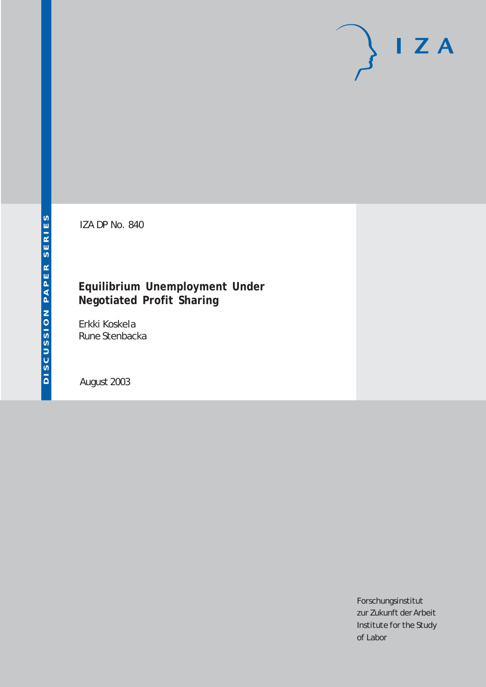# $I Z A$

IZA DP No. 840

### **Equilibrium Unemployment Under Negotiated Profit Sharing**

Erkki Koskela Rune Stenbacka

August 2003

Forschungsinstitut zur Zukunft der Arbeit Institute for the Study of Labor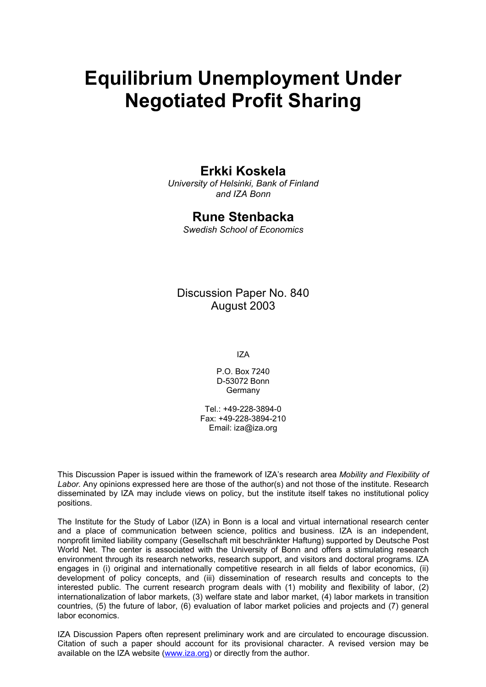# **Equilibrium Unemployment Under Negotiated Profit Sharing**

#### **Erkki Koskela**

*University of Helsinki, Bank of Finland and IZA Bonn* 

#### **Rune Stenbacka**

*Swedish School of Economics* 

#### Discussion Paper No. 840 August 2003

IZA

P.O. Box 7240 D-53072 Bonn Germany

 $Tel + 49-228-3894-0$ Fax: +49-228-3894-210 Email: [iza@iza.org](mailto:iza@iza.org)

This Discussion Paper is issued within the framework of IZA's research area *Mobility and Flexibility of Labor.* Any opinions expressed here are those of the author(s) and not those of the institute. Research disseminated by IZA may include views on policy, but the institute itself takes no institutional policy positions.

The Institute for the Study of Labor (IZA) in Bonn is a local and virtual international research center and a place of communication between science, politics and business. IZA is an independent, nonprofit limited liability company (Gesellschaft mit beschränkter Haftung) supported by Deutsche Post World Net. The center is associated with the University of Bonn and offers a stimulating research environment through its research networks, research support, and visitors and doctoral programs. IZA engages in (i) original and internationally competitive research in all fields of labor economics, (ii) development of policy concepts, and (iii) dissemination of research results and concepts to the interested public. The current research program deals with (1) mobility and flexibility of labor, (2) internationalization of labor markets, (3) welfare state and labor market, (4) labor markets in transition countries, (5) the future of labor, (6) evaluation of labor market policies and projects and (7) general labor economics.

IZA Discussion Papers often represent preliminary work and are circulated to encourage discussion. Citation of such a paper should account for its provisional character. A revised version may be available on the IZA website ([www.iza.org](http://www.iza.org/)) or directly from the author.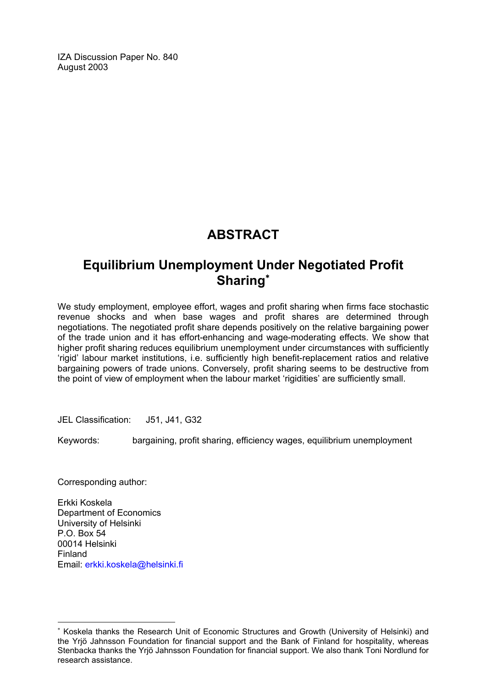IZA Discussion Paper No. 840 August 2003

## **ABSTRACT**

## **Equilibrium Unemployment Under Negotiated Profit Sharing**[∗](#page-2-0)

We study employment, employee effort, wages and profit sharing when firms face stochastic revenue shocks and when base wages and profit shares are determined through negotiations. The negotiated profit share depends positively on the relative bargaining power of the trade union and it has effort-enhancing and wage-moderating effects. We show that higher profit sharing reduces equilibrium unemployment under circumstances with sufficiently 'rigid' labour market institutions, i.e. sufficiently high benefit-replacement ratios and relative bargaining powers of trade unions. Conversely, profit sharing seems to be destructive from the point of view of employment when the labour market 'rigidities' are sufficiently small.

JEL Classification: J51, J41, G32

Keywords: bargaining, profit sharing, efficiency wages, equilibrium unemployment

Corresponding author:

 $\overline{a}$ 

Erkki Koskela Department of Economics University of Helsinki P.O. Box 54 00014 Helsinki Finland Email: [erkki.koskela@helsinki.fi](mailto:erkki.koskela@helsinki.fi)

<span id="page-2-0"></span><sup>∗</sup> Koskela thanks the Research Unit of Economic Structures and Growth (University of Helsinki) and the Yrjö Jahnsson Foundation for financial support and the Bank of Finland for hospitality, whereas Stenbacka thanks the Yrjö Jahnsson Foundation for financial support. We also thank Toni Nordlund for research assistance.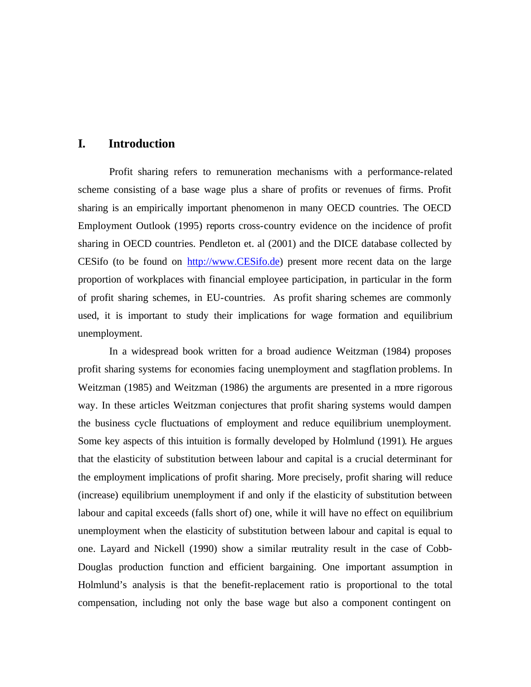#### **I. Introduction**

Profit sharing refers to remuneration mechanisms with a performance-related scheme consisting of a base wage plus a share of profits or revenues of firms. Profit sharing is an empirically important phenomenon in many OECD countries. The OECD Employment Outlook (1995) reports cross-country evidence on the incidence of profit sharing in OECD countries. Pendleton et. al (2001) and the DICE database collected by CESifo (to be found on http://www.CESifo.de) present more recent data on the large proportion of workplaces with financial employee participation, in particular in the form of profit sharing schemes, in EU-countries. As profit sharing schemes are commonly used, it is important to study their implications for wage formation and equilibrium unemployment.

In a widespread book written for a broad audience Weitzman (1984) proposes profit sharing systems for economies facing unemployment and stagflation problems. In Weitzman (1985) and Weitzman (1986) the arguments are presented in a more rigorous way. In these articles Weitzman conjectures that profit sharing systems would dampen the business cycle fluctuations of employment and reduce equilibrium unemployment. Some key aspects of this intuition is formally developed by Holmlund (1991). He argues that the elasticity of substitution between labour and capital is a crucial determinant for the employment implications of profit sharing. More precisely, profit sharing will reduce (increase) equilibrium unemployment if and only if the elasticity of substitution between labour and capital exceeds (falls short of) one, while it will have no effect on equilibrium unemployment when the elasticity of substitution between labour and capital is equal to one. Layard and Nickell (1990) show a similar neutrality result in the case of Cobb-Douglas production function and efficient bargaining. One important assumption in Holmlund's analysis is that the benefit-replacement ratio is proportional to the total compensation, including not only the base wage but also a component contingent on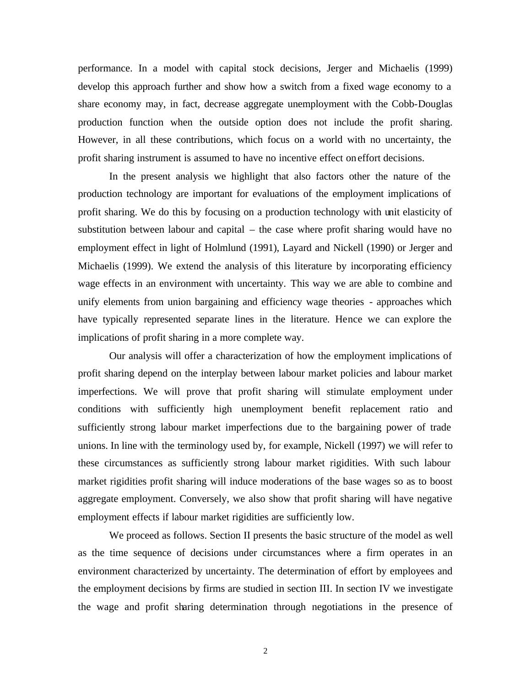performance. In a model with capital stock decisions, Jerger and Michaelis (1999) develop this approach further and show how a switch from a fixed wage economy to a share economy may, in fact, decrease aggregate unemployment with the Cobb-Douglas production function when the outside option does not include the profit sharing. However, in all these contributions, which focus on a world with no uncertainty, the profit sharing instrument is assumed to have no incentive effect on effort decisions.

In the present analysis we highlight that also factors other the nature of the production technology are important for evaluations of the employment implications of profit sharing. We do this by focusing on a production technology with unit elasticity of substitution between labour and capital – the case where profit sharing would have no employment effect in light of Holmlund (1991), Layard and Nickell (1990) or Jerger and Michaelis (1999). We extend the analysis of this literature by incorporating efficiency wage effects in an environment with uncertainty. This way we are able to combine and unify elements from union bargaining and efficiency wage theories - approaches which have typically represented separate lines in the literature. Hence we can explore the implications of profit sharing in a more complete way.

Our analysis will offer a characterization of how the employment implications of profit sharing depend on the interplay between labour market policies and labour market imperfections. We will prove that profit sharing will stimulate employment under conditions with sufficiently high unemployment benefit replacement ratio and sufficiently strong labour market imperfections due to the bargaining power of trade unions. In line with the terminology used by, for example, Nickell (1997) we will refer to these circumstances as sufficiently strong labour market rigidities. With such labour market rigidities profit sharing will induce moderations of the base wages so as to boost aggregate employment. Conversely, we also show that profit sharing will have negative employment effects if labour market rigidities are sufficiently low.

We proceed as follows. Section II presents the basic structure of the model as well as the time sequence of decisions under circumstances where a firm operates in an environment characterized by uncertainty. The determination of effort by employees and the employment decisions by firms are studied in section III. In section IV we investigate the wage and profit sharing determination through negotiations in the presence of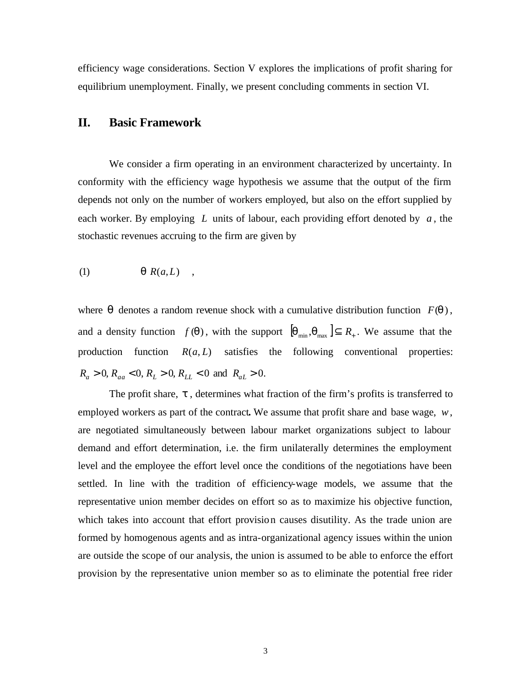efficiency wage considerations. Section V explores the implications of profit sharing for equilibrium unemployment. Finally, we present concluding comments in section VI.

#### **II. Basic Framework**

We consider a firm operating in an environment characterized by uncertainty. In conformity with the efficiency wage hypothesis we assume that the output of the firm depends not only on the number of workers employed, but also on the effort supplied by each worker. By employing *L* units of labour, each providing effort denoted by *a* , the stochastic revenues accruing to the firm are given by

$$
(1) \t\t q R(a,L) ,
$$

where  $q$  denotes a random revenue shock with a cumulative distribution function  $F(q)$ , and a density function  $f(\boldsymbol{q})$ , with the support  $[\boldsymbol{q}_{min}, \boldsymbol{q}_{max}] \subseteq R_+$ . We assume that the production function  $R(a, L)$  satisfies the following conventional properties:  $R_a > 0$ ,  $R_{aa} < 0$ ,  $R_L > 0$ ,  $R_{LL} < 0$  and  $R_{aL} > 0$ .

The profit share, *t* , determines what fraction of the firm's profits is transferred to employed workers as part of the contract**.** We assume that profit share and base wage, *w*, are negotiated simultaneously between labour market organizations subject to labour demand and effort determination, i.e. the firm unilaterally determines the employment level and the employee the effort level once the conditions of the negotiations have been settled. In line with the tradition of efficiency-wage models, we assume that the representative union member decides on effort so as to maximize his objective function, which takes into account that effort provision causes disutility. As the trade union are formed by homogenous agents and as intra-organizational agency issues within the union are outside the scope of our analysis, the union is assumed to be able to enforce the effort provision by the representative union member so as to eliminate the potential free rider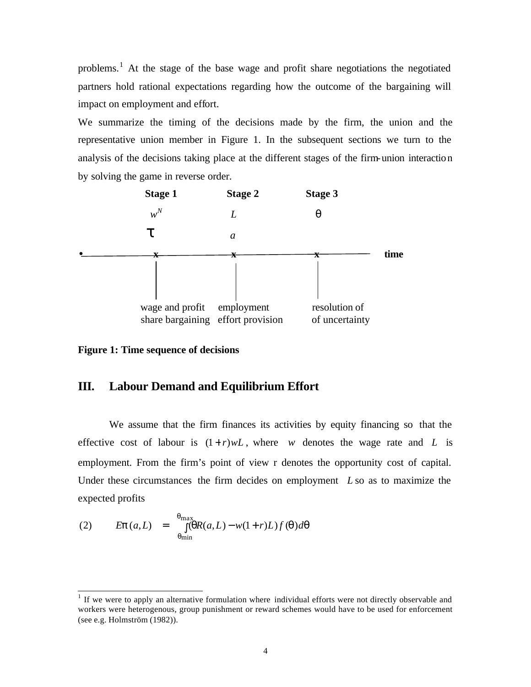problems.<sup>1</sup> At the stage of the base wage and profit share negotiations the negotiated partners hold rational expectations regarding how the outcome of the bargaining will impact on employment and effort.

We summarize the timing of the decisions made by the firm, the union and the representative union member in Figure 1. In the subsequent sections we turn to the analysis of the decisions taking place at the different stages of the firm-union interaction by solving the game in reverse order.



**Figure 1: Time sequence of decisions**

#### **III. Labour Demand and Equilibrium Effort**

We assume that the firm finances its activities by equity financing so that the effective cost of labour is  $(1+r)wL$ , where *w* denotes the wage rate and *L* is employment. From the firm's point of view r denotes the opportunity cost of capital. Under these circumstances the firm decides on employment *L* so as to maximize the expected profits

(2) 
$$
Ep(a,L) = \int_{q_{\min}}^{q_{\max}} (qR(a,L) - w(1+r)L)f(q)dq
$$

l

 $1$  If we were to apply an alternative formulation where individual efforts were not directly observable and workers were heterogenous, group punishment or reward schemes would have to be used for enforcement (see e.g. Holmström (1982)).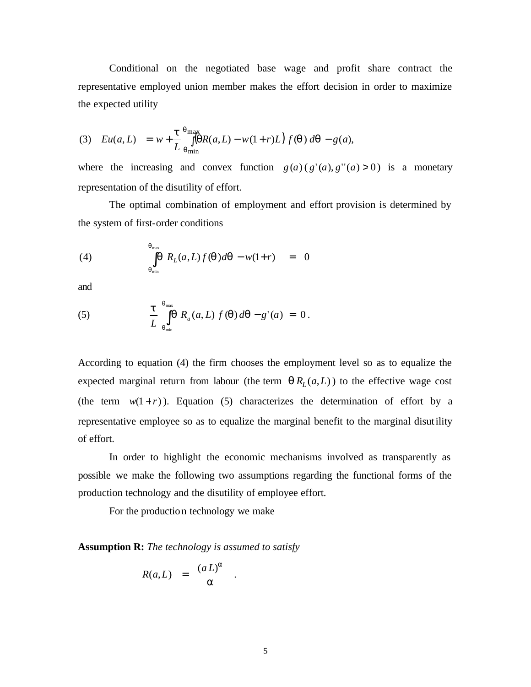Conditional on the negotiated base wage and profit share contract the representative employed union member makes the effort decision in order to maximize the expected utility

(3) 
$$
Eu(a, L) = w + \frac{t}{L} \int_{q_{\text{min}}}^{q_{\text{max}}} \left( qR(a, L) - w(1+r)L \right) f(q) dq - g(a),
$$

where the increasing and convex function  $g(a) (g'(a), g''(a) > 0)$  is a monetary representation of the disutility of effort.

The optimal combination of employment and effort provision is determined by the system of first-order conditions

(4) 
$$
\int_{q_{\min}}^{q_{\max}} \boldsymbol{q} R_L(a, L) f(\boldsymbol{q}) d\boldsymbol{q} - w(1+r) = 0
$$

and

(5) 
$$
\frac{t}{L} \int_{q_{\min}}^{q_{\max}} \int_{q_{\min}}^{R_a} R_a(a,L) f(q) dq - g'(a) = 0.
$$

According to equation (4) the firm chooses the employment level so as to equalize the expected marginal return from labour (the term  $q R_L(a,L)$ ) to the effective wage cost (the term  $w(1+r)$ ). Equation (5) characterizes the determination of effort by a representative employee so as to equalize the marginal benefit to the marginal disutility of effort.

In order to highlight the economic mechanisms involved as transparently as possible we make the following two assumptions regarding the functional forms of the production technology and the disutility of employee effort.

For the production technology we make

**Assumption R:** *The technology is assumed to satisfy*

$$
R(a,L) = \frac{(a L)^a}{a} .
$$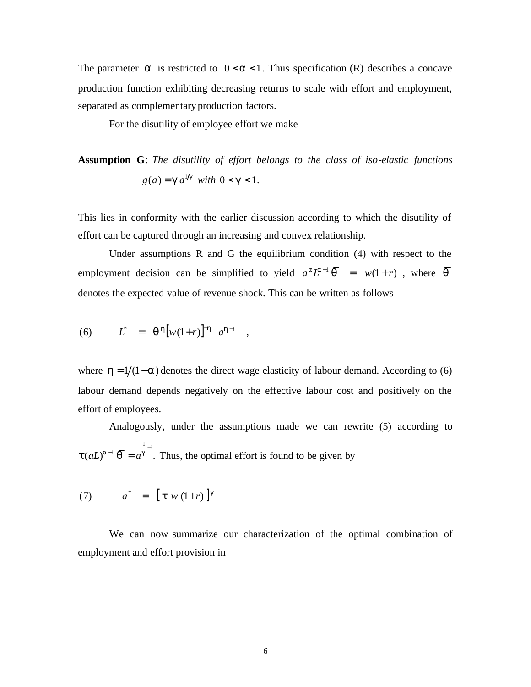The parameter  $\boldsymbol{a}$  is restricted to  $0 < \boldsymbol{a} < 1$ . Thus specification (R) describes a concave production function exhibiting decreasing returns to scale with effort and employment, separated as complementary production factors.

For the disutility of employee effort we make

**Assumption G**: *The disutility of effort belongs to the class of iso-elastic functions*   $g(a) = g a^{1/g}$  with  $0 < g < 1$ .

This lies in conformity with the earlier discussion according to which the disutility of effort can be captured through an increasing and convex relationship.

Under assumptions R and G the equilibrium condition (4) with respect to the employment decision can be simplified to yield  $a^a L^{a-1} \overline{q} = w(1+r)$ , where  $\overline{q}$ denotes the expected value of revenue shock. This can be written as follows

(6) 
$$
L^* = \bar{q}^h [w(1+r)]^{-h} a^{h-1},
$$

where  $h = 1/(1-a)$  denotes the direct wage elasticity of labour demand. According to (6) labour demand depends negatively on the effective labour cost and positively on the effort of employees.

 Analogously, under the assumptions made we can rewrite (5) according to  $(aL)^{a-1}$   $\overline{q} = a^{\frac{1}{g}-1}$ .  $\mathbf{t}(aL)^{a-1}$   $\overline{\mathbf{q}} = a^{\overline{\mathbf{g}}^{-1}}$ . Thus, the optimal effort is found to be given by

(7) 
$$
a^* = [t w (1+r)]^g
$$

We can now summarize our characterization of the optimal combination of employment and effort provision in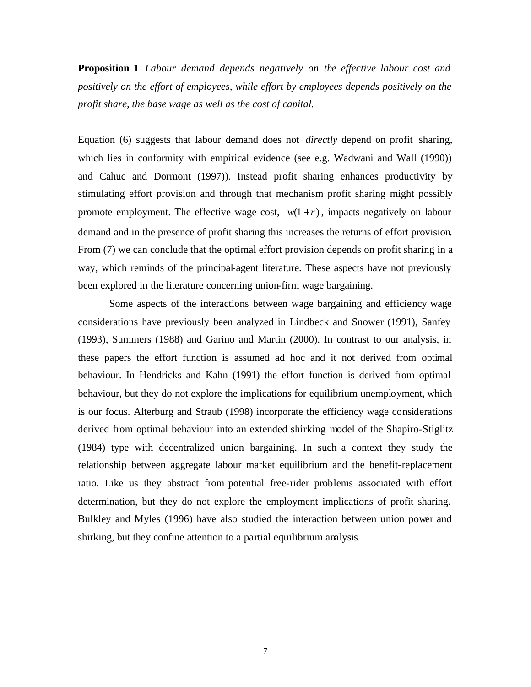**Proposition 1** *Labour demand depends negatively on the effective labour cost and positively on the effort of employees, while effort by employees depends positively on the profit share, the base wage as well as the cost of capital.*

Equation (6) suggests that labour demand does not *directly* depend on profit sharing, which lies in conformity with empirical evidence (see e.g. Wadwani and Wall (1990)) and Cahuc and Dormont (1997)). Instead profit sharing enhances productivity by stimulating effort provision and through that mechanism profit sharing might possibly promote employment. The effective wage cost,  $w(1+r)$ , impacts negatively on labour demand and in the presence of profit sharing this increases the returns of effort provision**.**  From (7) we can conclude that the optimal effort provision depends on profit sharing in a way, which reminds of the principal-agent literature. These aspects have not previously been explored in the literature concerning union-firm wage bargaining.

Some aspects of the interactions between wage bargaining and efficiency wage considerations have previously been analyzed in Lindbeck and Snower (1991), Sanfey (1993), Summers (1988) and Garino and Martin (2000). In contrast to our analysis, in these papers the effort function is assumed ad hoc and it not derived from optimal behaviour. In Hendricks and Kahn (1991) the effort function is derived from optimal behaviour, but they do not explore the implications for equilibrium unemployment, which is our focus. Alterburg and Straub (1998) incorporate the efficiency wage considerations derived from optimal behaviour into an extended shirking model of the Shapiro-Stiglitz (1984) type with decentralized union bargaining. In such a context they study the relationship between aggregate labour market equilibrium and the benefit-replacement ratio. Like us they abstract from potential free-rider problems associated with effort determination, but they do not explore the employment implications of profit sharing. Bulkley and Myles (1996) have also studied the interaction between union power and shirking, but they confine attention to a partial equilibrium analysis.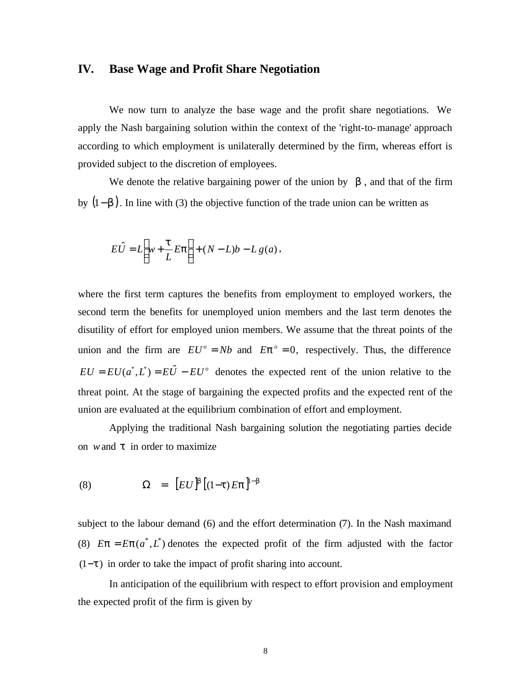#### **IV. Base Wage and Profit Share Negotiation**

We now turn to analyze the base wage and the profit share negotiations. We apply the Nash bargaining solution within the context of the 'right-to-manage' approach according to which employment is unilaterally determined by the firm, whereas effort is provided subject to the discretion of employees.

We denote the relative bargaining power of the union by  $\boldsymbol{b}$ , and that of the firm by (1−*b* ). In line with (3) the objective function of the trade union can be written as

$$
E\hat{U} = L\left[w + \frac{t}{L}E\mathbf{p}\right] + (N - L)b - Lg(a),
$$

where the first term captures the benefits from employment to employed workers, the second term the benefits for unemployed union members and the last term denotes the disutility of effort for employed union members. We assume that the threat points of the union and the firm are  $EU^{\circ} = Nb$  and  $Ep^{\circ} = 0$ , respectively. Thus, the difference  $EU = EU(a^*, L^*) = E\hat{U} - EU^{\circ}$  denotes the expected rent of the union relative to the threat point. At the stage of bargaining the expected profits and the expected rent of the union are evaluated at the equilibrium combination of effort and employment.

Applying the traditional Nash bargaining solution the negotiating parties decide on *w*and *t* in order to maximize

(8) 
$$
\Omega = [EU]^b [(1-t)Ep]^{1-b}
$$

subject to the labour demand (6) and the effort determination (7). In the Nash maximand (8)  $E\mathbf{p} = E\mathbf{p}(a^*, L^*)$  denotes the expected profit of the firm adjusted with the factor (1−*t* ) in order to take the impact of profit sharing into account.

In anticipation of the equilibrium with respect to effort provision and employment the expected profit of the firm is given by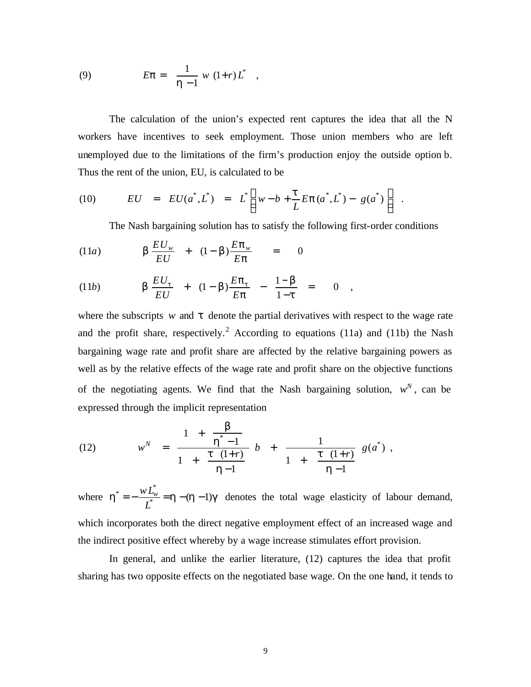(9) 
$$
E\mathbf{p} = \frac{1}{\mathbf{h} - 1} w (1+r) L^*,
$$

The calculation of the union's expected rent captures the idea that all the N workers have incentives to seek employment. Those union members who are left unemployed due to the limitations of the firm's production enjoy the outside option b. Thus the rent of the union, EU, is calculated to be

(10) 
$$
EU = EU(a^*, L^*) = L^* \left[ w - b + \frac{t}{L} E p(a^*, L^*) - g(a^*) \right].
$$

The Nash bargaining solution has to satisfy the following first-order conditions

(11*a*) 
$$
\mathbf{b} \frac{EU_w}{EU} + (1-\mathbf{b}) \frac{Ep_w}{Ep} = 0
$$

(11*b*) 
$$
\boldsymbol{b} \frac{EU_t}{EU} + (1 - \boldsymbol{b}) \frac{Ep_t}{Ep} - \frac{1 - \boldsymbol{b}}{1 - \boldsymbol{t}} = 0
$$
,

where the subscripts  $w$  and  $t$  denote the partial derivatives with respect to the wage rate and the profit share, respectively.<sup>2</sup> According to equations (11a) and (11b) the Nash bargaining wage rate and profit share are affected by the relative bargaining powers as well as by the relative effects of the wage rate and profit share on the objective functions of the negotiating agents. We find that the Nash bargaining solution,  $w^N$ , can be expressed through the implicit representation

(12) 
$$
w^N = \frac{1 + \frac{b}{h^* - 1}}{1 + \frac{t (1+r)}{h - 1}} b + \frac{1}{1 + \frac{t (1+r)}{h - 1}} g(a^*),
$$

where  $h^* = -\frac{W E_w}{I^*} = h - (h - 1)g$ \* =  $-\frac{W L_w^*}{W} = h - (h -$ *L*  $wL^*_{w \to w} = h - (h-1)g$  denotes the total wage elasticity of labour demand, which incorporates both the direct negative employment effect of an increased wage and the indirect positive effect whereby by a wage increase stimulates effort provision.

In general, and unlike the earlier literature, (12) captures the idea that profit sharing has two opposite effects on the negotiated base wage. On the one hand, it tends to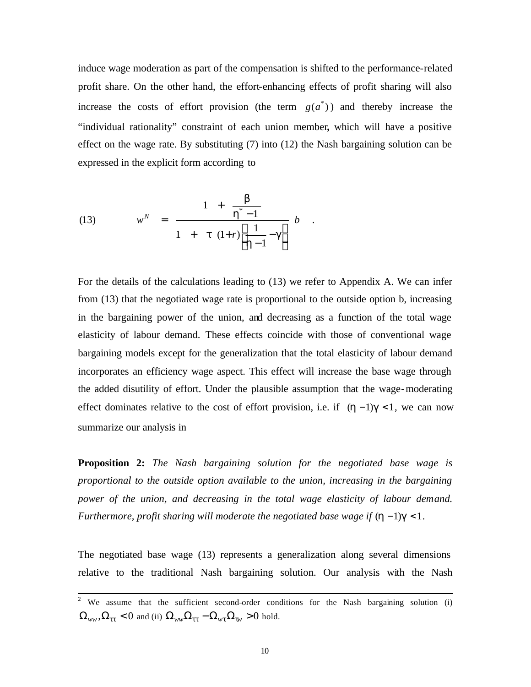induce wage moderation as part of the compensation is shifted to the performance-related profit share. On the other hand, the effort-enhancing effects of profit sharing will also increase the costs of effort provision (the term  $g(a^*)$ ) and thereby increase the "individual rationality" constraint of each union member**,** which will have a positive effect on the wage rate. By substituting (7) into (12) the Nash bargaining solution can be expressed in the explicit form according to

(13) 
$$
w^{N} = \frac{1 + \frac{b}{h^{*} - 1}}{1 + t (1+r) \left[\frac{1}{h - 1} - g\right]} b
$$

For the details of the calculations leading to (13) we refer to Appendix A. We can infer from (13) that the negotiated wage rate is proportional to the outside option b, increasing in the bargaining power of the union, and decreasing as a function of the total wage elasticity of labour demand. These effects coincide with those of conventional wage bargaining models except for the generalization that the total elasticity of labour demand incorporates an efficiency wage aspect. This effect will increase the base wage through the added disutility of effort. Under the plausible assumption that the wage-moderating effect dominates relative to the cost of effort provision, i.e. if (*h* −1)*g* < 1, we can now summarize our analysis in

**Proposition 2:** *The Nash bargaining solution for the negotiated base wage is proportional to the outside option available to the union, increasing in the bargaining power of the union, and decreasing in the total wage elasticity of labour demand. Furthermore, profit sharing will moderate the negotiated base wage if*  $(h−1)g < 1$ *.* 

The negotiated base wage (13) represents a generalization along several dimensions relative to the traditional Nash bargaining solution. Our analysis with the Nash

<sup>&</sup>lt;sup>2</sup> We assume that the sufficient second-order conditions for the Nash bargaining solution (i)  $\Omega_{ww}$ ,  $\Omega_{tt} < 0$  and (ii)  $\Omega_{ww} \Omega_{tt} - \Omega_{wt} \Omega_{tw} > 0$  hold.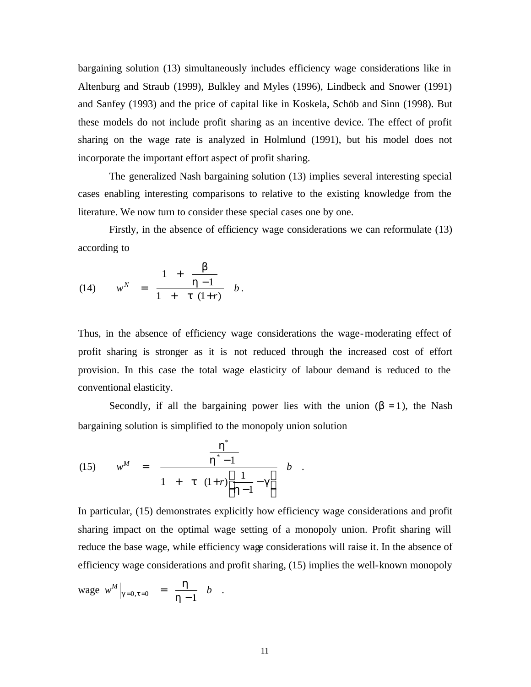bargaining solution (13) simultaneously includes efficiency wage considerations like in Altenburg and Straub (1999), Bulkley and Myles (1996), Lindbeck and Snower (1991) and Sanfey (1993) and the price of capital like in Koskela, Schöb and Sinn (1998). But these models do not include profit sharing as an incentive device. The effect of profit sharing on the wage rate is analyzed in Holmlund (1991), but his model does not incorporate the important effort aspect of profit sharing.

The generalized Nash bargaining solution (13) implies several interesting special cases enabling interesting comparisons to relative to the existing knowledge from the literature. We now turn to consider these special cases one by one.

Firstly, in the absence of efficiency wage considerations we can reformulate (13) according to

(14) 
$$
w^N = \frac{1 + \frac{b}{h-1}}{1 + t (1+r)} b.
$$

Thus, in the absence of efficiency wage considerations the wage-moderating effect of profit sharing is stronger as it is not reduced through the increased cost of effort provision. In this case the total wage elasticity of labour demand is reduced to the conventional elasticity.

Secondly, if all the bargaining power lies with the union  $(b = 1)$ , the Nash bargaining solution is simplified to the monopoly union solution

.

(15) 
$$
w^{M} = \frac{\frac{h^{*}}{h^{*}-1}}{1 + t (1+r)\left[\frac{1}{h-1}-g\right]} b
$$

In particular, (15) demonstrates explicitly how efficiency wage considerations and profit sharing impact on the optimal wage setting of a monopoly union. Profit sharing will reduce the base wage, while efficiency wage considerations will raise it. In the absence of efficiency wage considerations and profit sharing, (15) implies the well-known monopoly

$$
\text{ wage } w^M \big|_{g=0, t=0} = \frac{h}{h-1} b \quad .
$$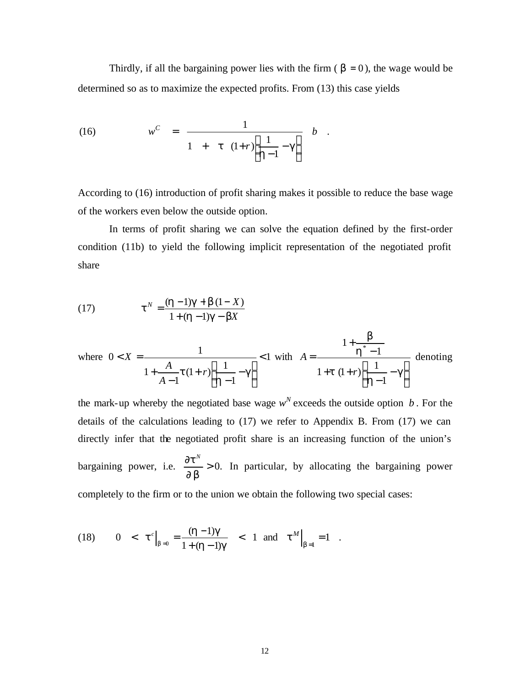Thirdly, if all the bargaining power lies with the firm  $(\mathbf{b} = 0)$ , the wage would be determined so as to maximize the expected profits. From (13) this case yields

(16) 
$$
w^{C} = \frac{1}{1 + t (1+r) \left[\frac{1}{h-1} - g\right]} b
$$

According to (16) introduction of profit sharing makes it possible to reduce the base wage of the workers even below the outside option.

In terms of profit sharing we can solve the equation defined by the first-order condition (11b) to yield the following implicit representation of the negotiated profit share

(17) 
$$
\mathbf{t}^{N} = \frac{(\mathbf{h} - 1)\mathbf{g} + \mathbf{b}(1 - X)}{1 + (\mathbf{h} - 1)\mathbf{g} - \mathbf{b}X}
$$
  
where  $0 < X = \frac{1}{1 + \frac{A}{A - 1} \mathbf{t}(1 + r) \left[\frac{1}{\mathbf{h} - 1} - \mathbf{g}\right]} < 1$  with  $A = \frac{1 + \frac{b}{\mathbf{h}^{*} - 1}}{1 + \mathbf{t}(1 + r) \left[\frac{1}{\mathbf{h} - 1} - \mathbf{g}\right]}$  denoting

the mark-up whereby the negotiated base wage  $w^N$  exceeds the outside option *b*. For the details of the calculations leading to (17) we refer to Appendix B. From (17) we can directly infer that the negotiated profit share is an increasing function of the union's bargaining power, i.e.  $\frac{6\epsilon}{2\epsilon} > 0$ . ∂ ∂ *b t N* In particular, by allocating the bargaining power completely to the firm or to the union we obtain the following two special cases:

(18) 
$$
0 < t^c|_{b=0} = \frac{(h-1)g}{1+(h-1)g} < 1
$$
 and  $t^M|_{b=1} = 1$ .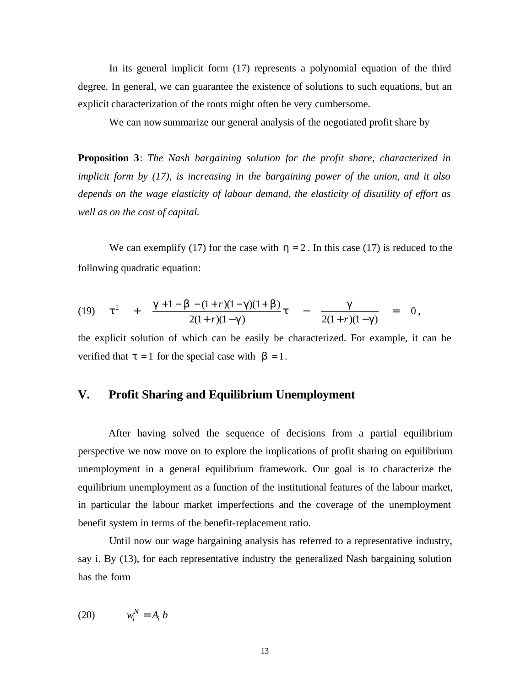In its general implicit form (17) represents a polynomial equation of the third degree. In general, we can guarantee the existence of solutions to such equations, but an explicit characterization of the roots might often be very cumbersome.

We can nowsummarize our general analysis of the negotiated profit share by

**Proposition 3**: *The Nash bargaining solution for the profit share, characterized in implicit form by (17), is increasing in the bargaining power of the union, and it also depends on the wage elasticity of labour demand, the elasticity of disutility of effort as well as on the cost of capital.*

We can exemplify (17) for the case with  $h = 2$ . In this case (17) is reduced to the following quadratic equation:

(19) 
$$
t^2 + \frac{g+1-b-(1+r)(1-g)(1+b)}{2(1+r)(1-g)}t - \frac{g}{2(1+r)(1-g)} = 0,
$$

the explicit solution of which can be easily be characterized. For example, it can be verified that  $t = 1$  for the special case with  $\mathbf{b} = 1$ .

#### **V. Profit Sharing and Equilibrium Unemployment**

After having solved the sequence of decisions from a partial equilibrium perspective we now move on to explore the implications of profit sharing on equilibrium unemployment in a general equilibrium framework. Our goal is to characterize the equilibrium unemployment as a function of the institutional features of the labour market, in particular the labour market imperfections and the coverage of the unemployment benefit system in terms of the benefit-replacement ratio.

Until now our wage bargaining analysis has referred to a representative industry, say i. By (13), for each representative industry the generalized Nash bargaining solution has the form

$$
(20) \t\t w_i^N = A_i b
$$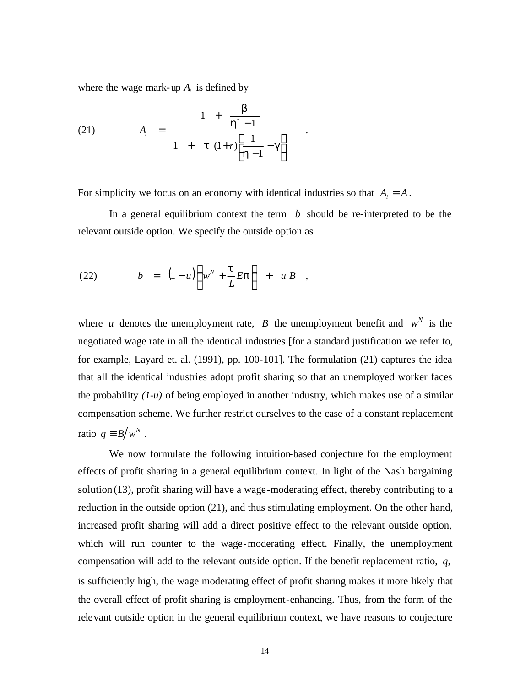where the wage mark-up  $A_i$  is defined by

(21) 
$$
A_{i} = \frac{1 + \frac{b}{h^{*} - 1}}{1 + t (1+r) \left[\frac{1}{h - 1} - g\right]}
$$

For simplicity we focus on an economy with identical industries so that  $A_i = A$ .

In a general equilibrium context the term  $\bar{b}$  should be re-interpreted to be the relevant outside option. We specify the outside option as

.

(22) 
$$
b = (1-u)\left(w^{N} + \frac{t}{L}E\mathbf{p}\right) + u B ,
$$

where *u* denotes the unemployment rate, *B* the unemployment benefit and  $w^N$  is the negotiated wage rate in all the identical industries [for a standard justification we refer to, for example, Layard et. al. (1991), pp. 100-101]. The formulation (21) captures the idea that all the identical industries adopt profit sharing so that an unemployed worker faces the probability *(1-u)* of being employed in another industry, which makes use of a similar compensation scheme. We further restrict ourselves to the case of a constant replacement ratio  $q \equiv B/w^N$ .

We now formulate the following intuition-based conjecture for the employment effects of profit sharing in a general equilibrium context. In light of the Nash bargaining solution (13), profit sharing will have a wage-moderating effect, thereby contributing to a reduction in the outside option (21), and thus stimulating employment. On the other hand, increased profit sharing will add a direct positive effect to the relevant outside option, which will run counter to the wage-moderating effect. Finally, the unemployment compensation will add to the relevant outside option. If the benefit replacement ratio, *q*, is sufficiently high, the wage moderating effect of profit sharing makes it more likely that the overall effect of profit sharing is employment-enhancing. Thus, from the form of the relevant outside option in the general equilibrium context, we have reasons to conjecture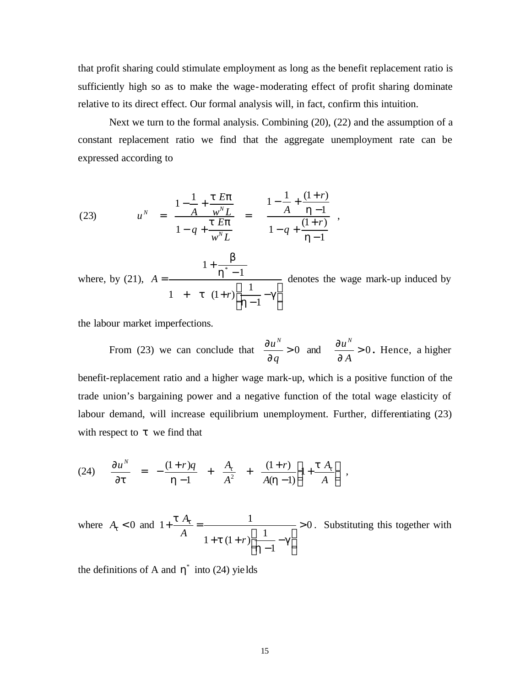that profit sharing could stimulate employment as long as the benefit replacement ratio is sufficiently high so as to make the wage-moderating effect of profit sharing dominate relative to its direct effect. Our formal analysis will, in fact, confirm this intuition.

Next we turn to the formal analysis. Combining (20), (22) and the assumption of a constant replacement ratio we find that the aggregate unemployment rate can be expressed according to

(23) 
$$
u^N = \frac{1 - \frac{1}{A} + \frac{t E p}{w^N L}}{1 - q + \frac{t E p}{w^N L}} = \frac{1 - \frac{1}{A} + \frac{(1+r)}{h-1}}{1 - q + \frac{(1+r)}{h-1}},
$$

where, by (21), I J  $\overline{\phantom{a}}$ L L L − −  $+$  t (1+ − + = *g h t h b* 1 1  $1 + t (1 + r)$  $1+\frac{b}{h^*-1}$ *r*  $A = \frac{A}{\sqrt{1 - A^2}}$  denotes the wage mark-up induced by

the labour market imperfections.

From (23) we can conclude that  $\frac{6u}{2} > 0$ ∂ ∂ *q u N* and  $\frac{0\mu}{2} > 0$ ∂ ∂ *A u N* **.** Hence, a higher benefit-replacement ratio and a higher wage mark-up, which is a positive function of the trade union's bargaining power and a negative function of the total wage elasticity of labour demand, will increase equilibrium unemployment. Further, differentiating (23) with respect to *t* we find that

(24) 
$$
\frac{\partial u^N}{\partial t} = -\frac{(1+r)q}{h-1} + \frac{A_t}{A^2} + \frac{(1+r)}{A(h-1)} \left[ 1 + \frac{t A_t}{A} \right],
$$

where  $A_t < 0$  and  $1 + \frac{C_1 \lambda_t}{4} = \frac{1}{C_1 \lambda_t^2} = 0$ 1  $1+t(1+r)\frac{1}{1}$  $1 + \frac{t A_t}{t} = \frac{1}{1}$ I  $\overline{\phantom{a}}$  $\overline{\phantom{a}}$ ŀ L  $\frac{1}{\cdot}$  – −  $+ t (1 +$  $+\frac{C_4}{T_0}$  = *g h t t <sup>t</sup> A*  $1 + t (1 + r)$  $\frac{A_t}{A_t}$  =  $\frac{1}{\sqrt{1-\frac{1}{2}}}$  > 0. Substituting this together with

the definitions of A and  $\mathbf{h}^*$  into (24) yields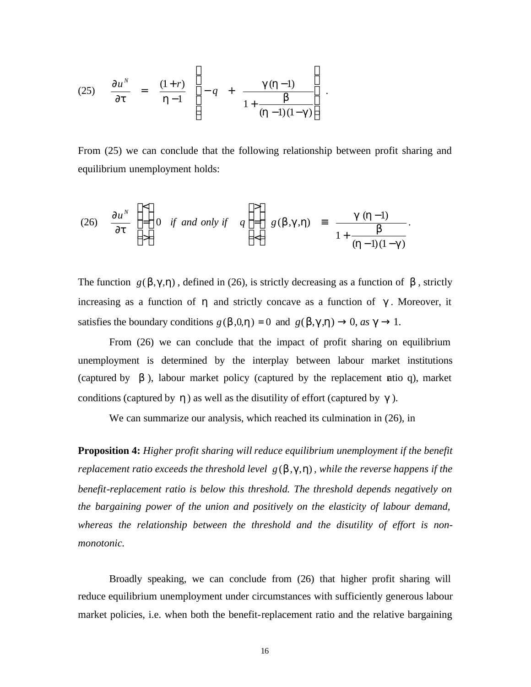(25) 
$$
\frac{\partial u^N}{\partial t} = \frac{(1+r)}{h-1} \left[ -q + \frac{g(h-1)}{1 + \frac{b}{(h-1)(1-g)}} \right].
$$

From (25) we can conclude that the following relationship between profit sharing and equilibrium unemployment holds:

(26) 
$$
\frac{\partial u^N}{\partial t} \begin{bmatrix} < \\ = \\ > \end{bmatrix} 0 \text{ if and only if } q \begin{bmatrix} > \\ = \\ < \end{bmatrix} g(\mathbf{b}, \mathbf{g}, \mathbf{h}) = \frac{\mathbf{g}(\mathbf{h}-1)}{1 + \frac{\mathbf{b}}{(\mathbf{h}-1)(1-\mathbf{g})}}.
$$

The function  $g(\mathbf{b}, \mathbf{g}, \mathbf{h})$ , defined in (26), is strictly decreasing as a function of **b**, strictly increasing as a function of *h* and strictly concave as a function of *g* . Moreover, it satisfies the boundary conditions  $g(\mathbf{b},0,\mathbf{h}) = 0$  and  $g(\mathbf{b},\mathbf{g},\mathbf{h}) \rightarrow 0$ , *as*  $\mathbf{g} \rightarrow 1$ .

From (26) we can conclude that the impact of profit sharing on equilibrium unemployment is determined by the interplay between labour market institutions (captured by  $\boldsymbol{b}$ ), labour market policy (captured by the replacement **atio** q), market conditions (captured by *h* ) as well as the disutility of effort (captured by *g* ).

We can summarize our analysis, which reached its culmination in (26), in

**Proposition 4:** *Higher profit sharing will reduce equilibrium unemployment if the benefit replacement ratio exceeds the threshold level*  $g(b,g,h)$ , while the reverse happens if the *benefit-replacement ratio is below this threshold. The threshold depends negatively on the bargaining power of the union and positively on the elasticity of labour demand, whereas the relationship between the threshold and the disutility of effort is nonmonotonic.*

Broadly speaking, we can conclude from (26) that higher profit sharing will reduce equilibrium unemployment under circumstances with sufficiently generous labour market policies, i.e. when both the benefit-replacement ratio and the relative bargaining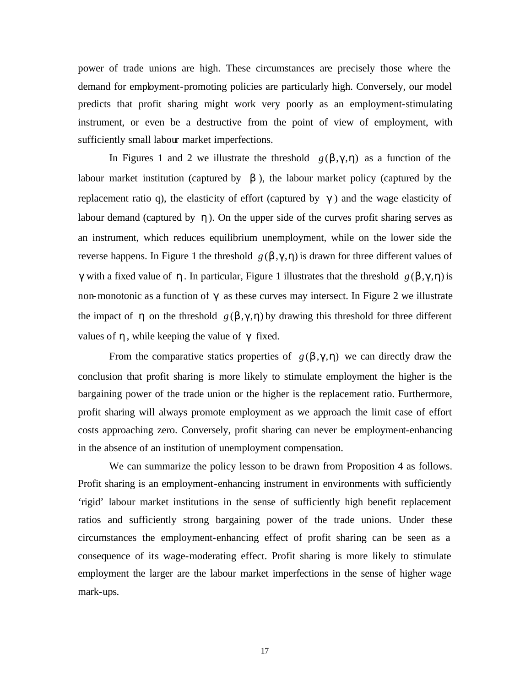power of trade unions are high. These circumstances are precisely those where the demand for employment-promoting policies are particularly high. Conversely, our model predicts that profit sharing might work very poorly as an employment-stimulating instrument, or even be a destructive from the point of view of employment, with sufficiently small labour market imperfections.

In Figures 1 and 2 we illustrate the threshold  $g(b,g,h)$  as a function of the labour market institution (captured by  $\boldsymbol{b}$ ), the labour market policy (captured by the replacement ratio q), the elasticity of effort (captured by *g* ) and the wage elasticity of labour demand (captured by *h*). On the upper side of the curves profit sharing serves as an instrument, which reduces equilibrium unemployment, while on the lower side the reverse happens. In Figure 1 the threshold  $g(b,g,h)$  is drawn for three different values of *g* with a fixed value of *h*. In particular, Figure 1 illustrates that the threshold  $g(b,g,h)$  is non-monotonic as a function of *g* as these curves may intersect. In Figure 2 we illustrate the impact of *h* on the threshold  $g(b,g,h)$  by drawing this threshold for three different values of *h* , while keeping the value of *g* fixed.

From the comparative statics properties of  $g(b,g,h)$  we can directly draw the conclusion that profit sharing is more likely to stimulate employment the higher is the bargaining power of the trade union or the higher is the replacement ratio. Furthermore, profit sharing will always promote employment as we approach the limit case of effort costs approaching zero. Conversely, profit sharing can never be employment-enhancing in the absence of an institution of unemployment compensation.

We can summarize the policy lesson to be drawn from Proposition 4 as follows. Profit sharing is an employment-enhancing instrument in environments with sufficiently 'rigid' labour market institutions in the sense of sufficiently high benefit replacement ratios and sufficiently strong bargaining power of the trade unions. Under these circumstances the employment-enhancing effect of profit sharing can be seen as a consequence of its wage-moderating effect. Profit sharing is more likely to stimulate employment the larger are the labour market imperfections in the sense of higher wage mark-ups.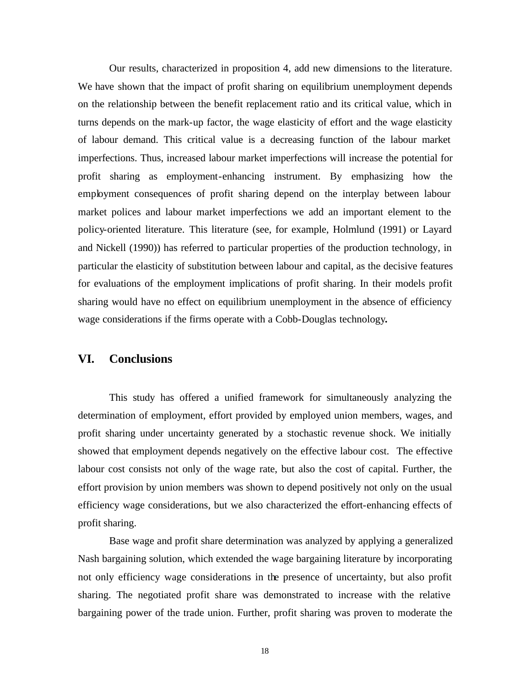Our results, characterized in proposition 4, add new dimensions to the literature. We have shown that the impact of profit sharing on equilibrium unemployment depends on the relationship between the benefit replacement ratio and its critical value, which in turns depends on the mark-up factor, the wage elasticity of effort and the wage elasticity of labour demand. This critical value is a decreasing function of the labour market imperfections. Thus, increased labour market imperfections will increase the potential for profit sharing as employment-enhancing instrument. By emphasizing how the employment consequences of profit sharing depend on the interplay between labour market polices and labour market imperfections we add an important element to the policy-oriented literature. This literature (see, for example, Holmlund (1991) or Layard and Nickell (1990)) has referred to particular properties of the production technology, in particular the elasticity of substitution between labour and capital, as the decisive features for evaluations of the employment implications of profit sharing. In their models profit sharing would have no effect on equilibrium unemployment in the absence of efficiency wage considerations if the firms operate with a Cobb-Douglas technology**.** 

#### **VI. Conclusions**

This study has offered a unified framework for simultaneously analyzing the determination of employment, effort provided by employed union members, wages, and profit sharing under uncertainty generated by a stochastic revenue shock. We initially showed that employment depends negatively on the effective labour cost. The effective labour cost consists not only of the wage rate, but also the cost of capital. Further, the effort provision by union members was shown to depend positively not only on the usual efficiency wage considerations, but we also characterized the effort-enhancing effects of profit sharing.

Base wage and profit share determination was analyzed by applying a generalized Nash bargaining solution, which extended the wage bargaining literature by incorporating not only efficiency wage considerations in the presence of uncertainty, but also profit sharing. The negotiated profit share was demonstrated to increase with the relative bargaining power of the trade union. Further, profit sharing was proven to moderate the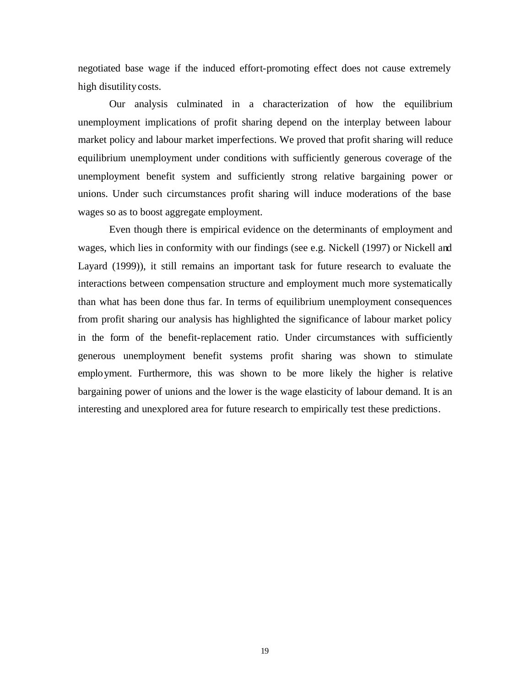negotiated base wage if the induced effort-promoting effect does not cause extremely high disutility costs.

Our analysis culminated in a characterization of how the equilibrium unemployment implications of profit sharing depend on the interplay between labour market policy and labour market imperfections. We proved that profit sharing will reduce equilibrium unemployment under conditions with sufficiently generous coverage of the unemployment benefit system and sufficiently strong relative bargaining power or unions. Under such circumstances profit sharing will induce moderations of the base wages so as to boost aggregate employment.

Even though there is empirical evidence on the determinants of employment and wages, which lies in conformity with our findings (see e.g. Nickell (1997) or Nickell and Layard (1999)), it still remains an important task for future research to evaluate the interactions between compensation structure and employment much more systematically than what has been done thus far. In terms of equilibrium unemployment consequences from profit sharing our analysis has highlighted the significance of labour market policy in the form of the benefit-replacement ratio. Under circumstances with sufficiently generous unemployment benefit systems profit sharing was shown to stimulate employment. Furthermore, this was shown to be more likely the higher is relative bargaining power of unions and the lower is the wage elasticity of labour demand. It is an interesting and unexplored area for future research to empirically test these predictions.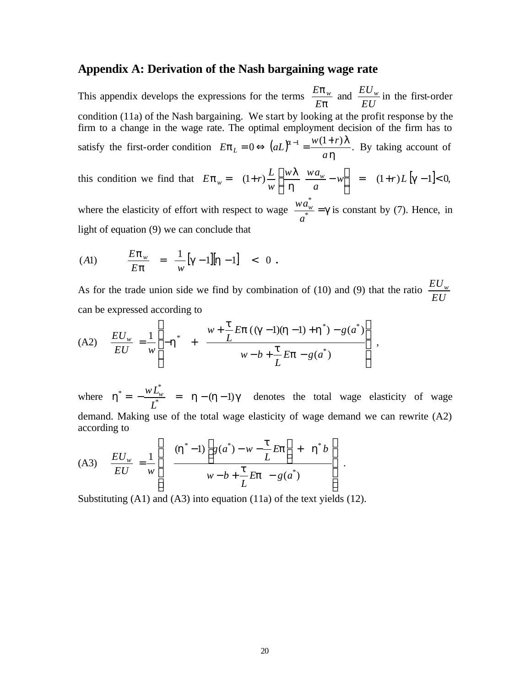#### **Appendix A: Derivation of the Nash bargaining wage rate**

This appendix develops the expressions for the terms *p p E*  $\frac{E \mathbf{p}_{w}}{E}$  and *EU*  $\frac{EU_w}{IV}$  in the first-order condition (11a) of the Nash bargaining. We start by looking at the profit response by the firm to a change in the wage rate. The optimal employment decision of the firm has to satisfy the first-order condition  $E \mathbf{p}_L = 0 \Leftrightarrow (aL)^{a-1} = \frac{w(1+r)I}{I}$ . *h*  $\boldsymbol{p}_L = 0 \Leftrightarrow (aL)^{a-1} = \frac{w(1+r)\boldsymbol{I}}{r}$ *a*  $E \mathbf{p}_L = 0 \Leftrightarrow (aL)^{a-1} = \frac{w(1+r)\mathbf{I}}{a\mathbf{I}}$ . By taking account of

this condition we find that  $E \mathbf{p}_w = (1+r) \frac{E}{w} \left| \frac{WL}{\mathbf{h}} \frac{w \mathbf{u}_w}{a} - w \right| = (1+r) L |\mathbf{g}-1| < 0$ ,  $\overline{\phantom{a}}$  $\overline{\phantom{a}}$ L L  $= (1+r)\frac{L}{r} \left| \frac{wI}{r} \frac{wa_w}{w} - w \right| = (1+r)L \left[ g \right]$ *h*  $\boldsymbol{p}_w = (1+r)\frac{L}{r} \left| \frac{wI}{r} \frac{wa_w}{r} - w \right| = (1+r)L$ *a w wa w*  $E \mathbf{p}_w = (1+r) \frac{L}{w} \frac{w \mathbf{l}}{h} \frac{w a_w}{m}$ \*

where the elasticity of effort with respect to wage  $\frac{w u_w}{a^*} = g$ *a*  $\frac{wa_w^*}{\phi} = g$  is constant by (7). Hence, in light of equation (9) we can conclude that

(A1) 
$$
\frac{E \mathbf{p}_w}{E \mathbf{p}} = \frac{1}{w} [\mathbf{g} - 1] [\mathbf{h} - 1] < 0.
$$

As for the trade union side we find by combination of (10) and (9) that the ratio *EU EU<sup>w</sup>* can be expressed according to

(A2) 
$$
\frac{EU_w}{EU} = \frac{1}{w} \left[ -\mathbf{h}^* + \frac{w + \frac{\mathbf{t}}{L} Ep((\mathbf{g}-1)(\mathbf{h}-1) + \mathbf{h}^*) - g(a^*)}{w - b + \frac{\mathbf{t}}{L} Ep - g(a^*)} \right],
$$

where  $h^* = -\frac{W E_w}{I^*} = h - (h-1)g$ \* =  $-\frac{W L_w^*}{W}$  =  $h - (h -$ *L*  $\frac{wL_w^*}{z^*}$  =  $h - (h-1)g$  denotes the total wage elasticity of wage demand. Making use of the total wage elasticity of wage demand we can rewrite (A2) according to  $\overline{\phantom{a}}$ 

$$
(A3) \quad \frac{EU_w}{EU} = \frac{1}{w} \left[ \frac{(\mathbf{h}^* - 1) \left[ g(a^*) - w - \frac{\mathbf{t}}{L} E \mathbf{p} \right] + \mathbf{h}^* b}{w - b + \frac{\mathbf{t}}{L} E \mathbf{p} - g(a^*)} \right].
$$

Substituting (A1) and (A3) into equation (11a) of the text yields (12).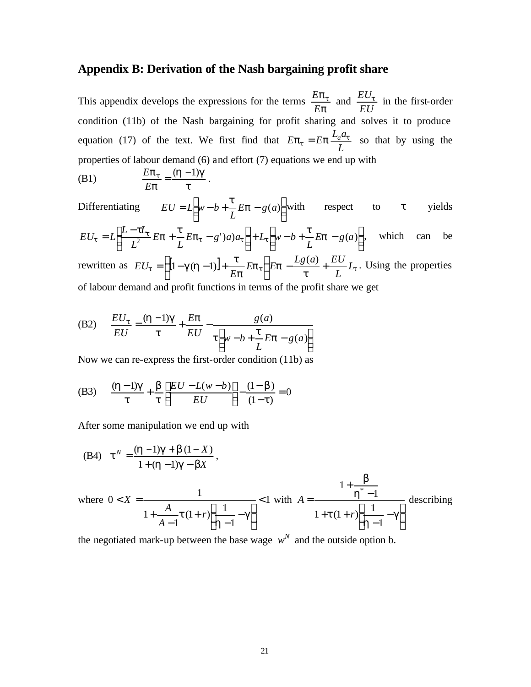#### **Appendix B: Derivation of the Nash bargaining profit share**

This appendix develops the expressions for the terms *p pt E*  $\frac{E p_t}{E}$  and *EU*  $\frac{EU_t}{IV}$  in the first-order condition (11b) of the Nash bargaining for profit sharing and solves it to produce equation (17) of the text. We first find that *L*  $E\mathbf{p}_t = E\mathbf{p} \frac{L_a a_t}{I}$  so that by using the properties of labour demand (6) and effort (7) equations we end up with

(B1) 
$$
\frac{Ep_t}{Ep} = \frac{(h-1)g}{t}.
$$

Differentiating  $EU = L\left[ w - b + \frac{c}{L} Ep - g(a) \right]$  $\overline{\phantom{a}}$  $\overline{\mathsf{L}}$  $= L \bigg( w - b + \frac{t}{\epsilon} E p - g(a)$ *L*  $EU = L \wedge w - b + \frac{c}{\tau} E p$  $\frac{t}{-} E p - g(a)$  with respect to *t* yields  $\rfloor$  $\overline{\phantom{a}}$  $\overline{\mathsf{L}}$  $\left] + L_t \right[ w - b + \frac{t}{L} E p \overline{\phantom{a}}$  $\overline{\mathsf{L}}$  $= L \left[ \frac{L - tL_t}{l^2} E \mathbf{p} + \frac{t}{l} E \mathbf{p}_t - g' \right] a_a + L_t \left[ w - b + \frac{t}{l} E \mathbf{p} - g(a) \right]$ *L*  $E$ *p***<sub>t</sub>**  $-g'$ )*a*) $a$ <sub>**t**</sub>  $|+L$ <sub>**t**</sub> $|w-b|$ *L E L*  $EU_t = L \left[ \frac{L - tL_t}{2} E \mathbf{p} + \frac{t}{\tau} E \mathbf{p}_t - g' \right] a_a \right] + L_t \left[ w - b + \frac{t}{\tau} E \mathbf{p}_t \right]$  $\tau_t = L \left| \frac{L - \mu_t}{r^2} E \mathbf{p} + \frac{\mu}{r} E \mathbf{p}_t - g' \right| a \right| + L_t \left| w - b + \frac{\mu}{r} E \mathbf{p} - g(a) \right|$ , which can be rewritten as  $EU_t = \left\{ \left[1 - g(h-1)\right] + \frac{c}{Ep} Ep_t \right\} Ep - \frac{Eg(u)}{t} + \frac{EO}{L} L_t$  $\{p_t\}$  $E$ p *p*  $g(h-1)$  +  $\frac{t}{h}$   $E$ **p**<sub>t</sub>  $\left\{ Ep - \frac{Lg(a)}{h} + \frac{EU}{h} L \right\}$ *L*  $E$ **p**<sub>t</sub> $\left\{ E$ **p** $-\frac{Lg(a)}{f} + \frac{EU}{f(a)} \right\}$ *E*  $EU_t = \left\{ [1-g(h-1)] + \frac{c}{\pi} Ep_t \right\} Ep - \frac{Lg(u)}{h}$ J ł  $\mathbf{I}$  $\mathsf{L}$ ∤  $=\left\{\left[1-g(h-1)\right]+\frac{t}{g}\right\}E$ **p**  $\left\{\frac{Lg(a)}{g(a)}+\frac{EU}{g(L)}L_{t}\right\}$ . Using the properties of labour demand and profit functions in terms of the profit share we get

(B2) 
$$
\frac{EU_t}{EU} = \frac{(h-1)g}{t} + \frac{Ep}{EU} - \frac{g(a)}{t \left[w - b + \frac{t}{L}Ep - g(a)\right]}
$$

Now we can re-express the first-order condition (11b) as

(B3) 
$$
\frac{(h-1)g}{t} + \frac{b}{t} \left[ \frac{EU - L(w-b)}{EU} \right] - \frac{(1-b)}{(1-t)} = 0
$$

After some manipulation we end up with

(B4) 
$$
\mathbf{t}^{N} = \frac{(\mathbf{h} - 1)\mathbf{g} + \mathbf{b}(1 - X)}{1 + (\mathbf{h} - 1)\mathbf{g} - \mathbf{b}X},
$$
  
where  $0 < X = \frac{1}{1 + \frac{A}{A - 1}t(1 + r)\left[\frac{1}{\mathbf{h} - 1} - \mathbf{g}\right]} < 1$  with  $A = \frac{1 + \frac{b}{h^{*} - 1}}{1 + t(1 + r)\left[\frac{1}{\mathbf{h} - 1} - \mathbf{g}\right]}$  describing

the negotiated mark-up between the base wage  $w<sup>N</sup>$  and the outside option b.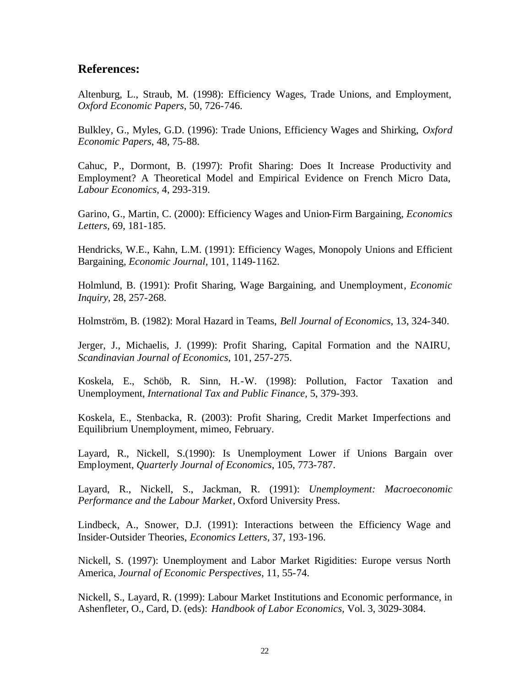#### **References:**

Altenburg, L., Straub, M. (1998): Efficiency Wages, Trade Unions, and Employment, *Oxford Economic Papers*, 50, 726-746.

Bulkley, G., Myles, G.D. (1996): Trade Unions, Efficiency Wages and Shirking, *Oxford Economic Papers*, 48, 75-88.

Cahuc, P., Dormont, B. (1997): Profit Sharing: Does It Increase Productivity and Employment? A Theoretical Model and Empirical Evidence on French Micro Data, *Labour Economics,* 4, 293-319.

Garino, G., Martin, C. (2000): Efficiency Wages and Union-Firm Bargaining, *Economics Letters,* 69, 181-185.

Hendricks, W.E., Kahn, L.M. (1991): Efficiency Wages, Monopoly Unions and Efficient Bargaining, *Economic Journal,* 101, 1149-1162.

Holmlund, B. (1991): Profit Sharing, Wage Bargaining, and Unemployment*, Economic Inquiry,* 28, 257-268.

Holmström, B. (1982): Moral Hazard in Teams, *Bell Journal of Economics*, 13, 324-340.

Jerger, J., Michaelis, J. (1999): Profit Sharing, Capital Formation and the NAIRU, *Scandinavian Journal of Economics*, 101, 257-275.

Koskela, E., Schöb, R. Sinn, H.-W. (1998): Pollution, Factor Taxation and Unemployment, *International Tax and Public Finance,* 5, 379-393.

Koskela, E., Stenbacka, R. (2003): Profit Sharing, Credit Market Imperfections and Equilibrium Unemployment, mimeo, February.

Layard, R., Nickell, S.(1990): Is Unemployment Lower if Unions Bargain over Employment, *Quarterly Journal of Economics*, 105, 773-787.

Layard, R., Nickell, S., Jackman, R. (1991): *Unemployment: Macroeconomic Performance and the Labour Market*, Oxford University Press.

Lindbeck, A., Snower, D.J. (1991): Interactions between the Efficiency Wage and Insider-Outsider Theories, *Economics Letters,* 37, 193-196.

Nickell, S. (1997): Unemployment and Labor Market Rigidities: Europe versus North America, *Journal of Economic Perspectives*, 11, 55-74.

Nickell, S., Layard, R. (1999): Labour Market Institutions and Economic performance, in Ashenfleter, O., Card, D. (eds): *Handbook of Labor Economics,* Vol. 3, 3029-3084.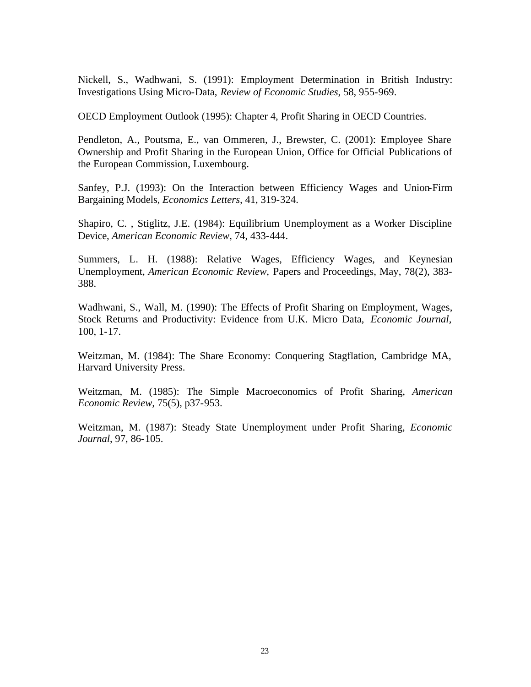Nickell, S., Wadhwani, S. (1991): Employment Determination in British Industry: Investigations Using Micro-Data, *Review of Economic Studies*, 58, 955-969.

OECD Employment Outlook (1995): Chapter 4, Profit Sharing in OECD Countries.

Pendleton, A., Poutsma, E., van Ommeren, J., Brewster, C. (2001): Employee Share Ownership and Profit Sharing in the European Union, Office for Official Publications of the European Commission, Luxembourg.

Sanfey, P.J. (1993): On the Interaction between Efficiency Wages and Union-Firm Bargaining Models, *Economics Letters,* 41, 319-324.

Shapiro, C. , Stiglitz, J.E. (1984): Equilibrium Unemployment as a Worker Discipline Device, *American Economic Review,* 74, 433-444.

Summers, L. H. (1988): Relative Wages, Efficiency Wages, and Keynesian Unemployment, *American Economic Review,* Papers and Proceedings, May, 78(2), 383- 388.

Wadhwani, S., Wall, M. (1990): The Effects of Profit Sharing on Employment, Wages, Stock Returns and Productivity: Evidence from U.K. Micro Data, *Economic Journal,*  100, 1-17.

Weitzman, M. (1984): The Share Economy: Conquering Stagflation, Cambridge MA, Harvard University Press.

Weitzman, M. (1985): The Simple Macroeconomics of Profit Sharing, *American Economic Review,* 75(5), p37-953.

Weitzman, M. (1987): Steady State Unemployment under Profit Sharing, *Economic Journal*, 97, 86-105.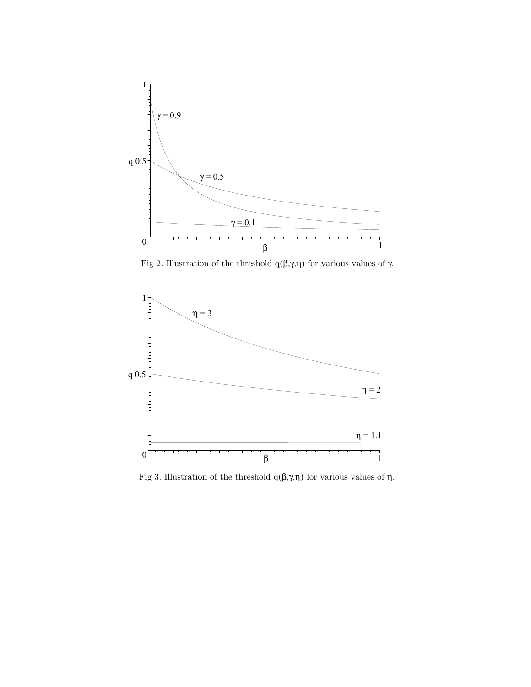

Fig 2. Illustration of the threshold q(β,γ,η) for various values of γ.



Fig 3. Illustration of the threshold q(β,γ,η) for various values of η.